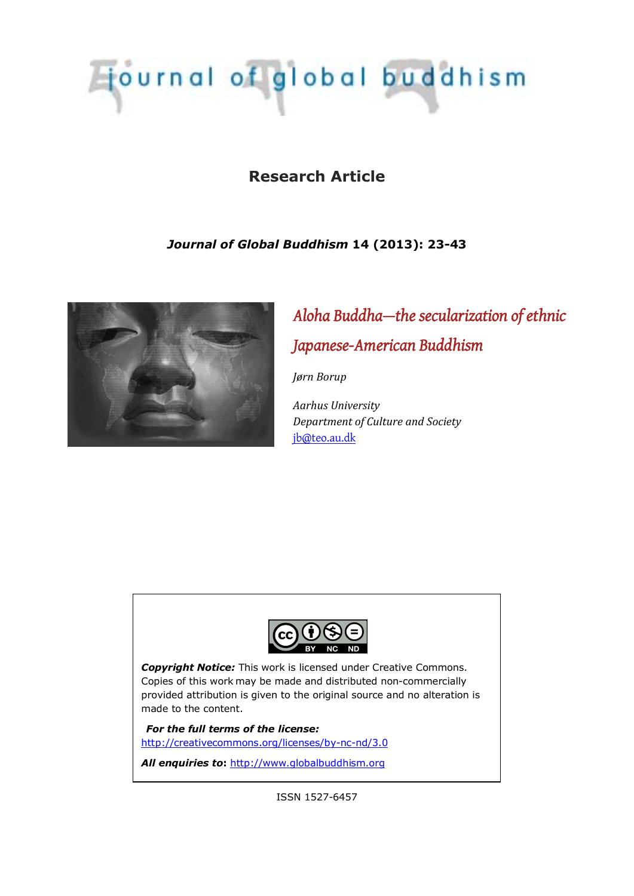# Tjournal of global buddhism

# **Research Article**

## *Journal of Global Buddhism* **14 (2013): 23-43**



# *Aloha Buddha—the secularization of ethnic Japanese-American Buddhism*

*Jørn Borup* 

*Aarhus University Department of Culture and Society*  [jb@teo.au.dk](mailto:jb@teo.au.dk)



*Copyright Notice:* This work is licensed under Creative Commons. Copies of this work may be made and distributed non-commercially provided attribution is given to the original source and no alteration is made to the content.

*For the full terms of the license:* <http://creativecommons.org/licenses/by-nc-nd/3.0>

*All enquiries to***:** [http://www.globalbuddhism.org](http://www.globalbuddhism.org/)

ISSN 1527-6457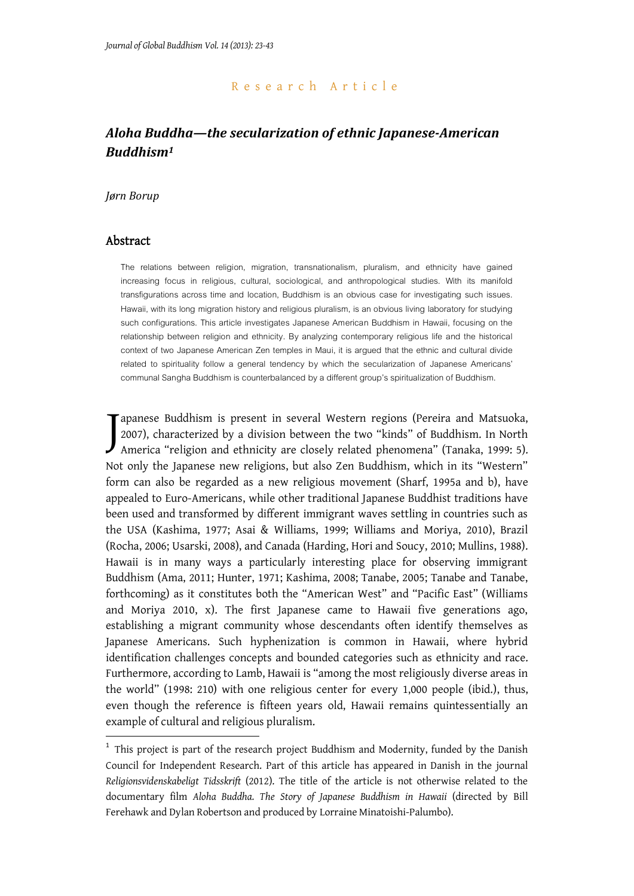#### Research Article

# *Aloha Buddha—the secularization of ethnic Japanese-American Buddhism<sup>1</sup>*

#### *Jørn Borup*

#### Abstract

-

The relations between religion, migration, transnationalism, pluralism, and ethnicity have gained increasing focus in religious, cultural, sociological, and anthropological studies. With its manifold transfigurations across time and location, Buddhism is an obvious case for investigating such issues. Hawaii, with its long migration history and religious pluralism, is an obvious living laboratory for studying such configurations. This article investigates Japanese American Buddhism in Hawaii, focusing on the relationship between religion and ethnicity. By analyzing contemporary religious life and the historical context of two Japanese American Zen temples in Maui, it is argued that the ethnic and cultural divide related to spirituality follow a general tendency by which the secularization of Japanese Americans' communal Sangha Buddhism is counterbalanced by a different group's spiritualization of Buddhism.

apanese Buddhism is present in several Western regions (Pereira and Matsuoka, 2007), characterized by a division between the two "kinds" of Buddhism. In North Tapanese Buddhism is present in several Western regions (Pereira and Matsuoka, 2007), characterized by a division between the two "kinds" of Buddhism. In North America "religion and ethnicity are closely related phenomena" Not only the Japanese new religions, but also Zen Buddhism, which in its "Western" form can also be regarded as a new religious movement (Sharf, 1995a and b), have appealed to Euro-Americans, while other traditional Japanese Buddhist traditions have been used and transformed by different immigrant waves settling in countries such as the USA (Kashima, 1977; Asai & Williams, 1999; Williams and Moriya, 2010), Brazil (Rocha, 2006; Usarski, 2008), and Canada (Harding, Hori and Soucy, 2010; Mullins, 1988). Hawaii is in many ways a particularly interesting place for observing immigrant Buddhism (Ama, 2011; Hunter, 1971; Kashima, 2008; Tanabe, 2005; Tanabe and Tanabe, forthcoming) as it constitutes both the "American West" and "Pacific East" (Williams and Moriya 2010, x). The first Japanese came to Hawaii five generations ago, establishing a migrant community whose descendants often identify themselves as Japanese Americans. Such hyphenization is common in Hawaii, where hybrid identification challenges concepts and bounded categories such as ethnicity and race. Furthermore, according to Lamb, Hawaii is "among the most religiously diverse areas in the world" (1998: 210) with one religious center for every 1,000 people (ibid.), thus, even though the reference is fifteen years old, Hawaii remains quintessentially an example of cultural and religious pluralism.

<sup>&</sup>lt;sup>1</sup> This project is part of the research project Buddhism and Modernity, funded by the Danish Council for Independent Research. Part of this article has appeared in Danish in the journal *Religionsvidenskabeligt Tidsskrift* (2012). The title of the article is not otherwise related to the documentary film *Aloha Buddha. The Story of Japanese Buddhism in Hawaii* (directed by Bill Ferehawk and Dylan Robertson and produced by Lorraine Minatoishi-Palumbo).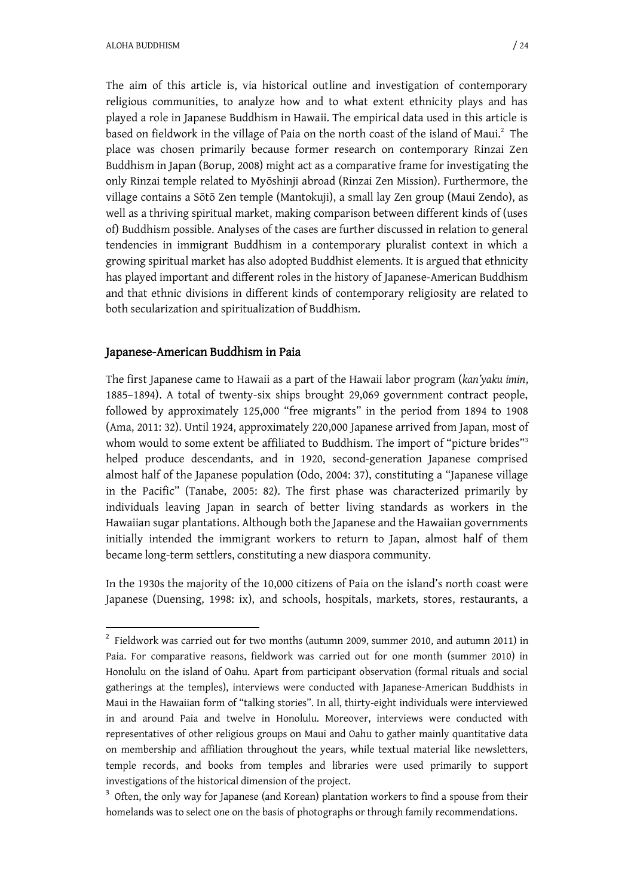The aim of this article is, via historical outline and investigation of contemporary religious communities, to analyze how and to what extent ethnicity plays and has played a role in Japanese Buddhism in Hawaii. The empirical data used in this article is based on fieldwork in the village of Paia on the north coast of the island of Maui.<sup>2</sup> The place was chosen primarily because former research on contemporary Rinzai Zen Buddhism in Japan (Borup, 2008) might act as a comparative frame for investigating the only Rinzai temple related to Myگshinji abroad (Rinzai Zen Mission). Furthermore, the village contains a Sōtō Zen temple (Mantokuji), a small lay Zen group (Maui Zendo), as well as a thriving spiritual market, making comparison between different kinds of (uses of) Buddhism possible. Analyses of the cases are further discussed in relation to general tendencies in immigrant Buddhism in a contemporary pluralist context in which a growing spiritual market has also adopted Buddhist elements. It is argued that ethnicity has played important and different roles in the history of Japanese-American Buddhism and that ethnic divisions in different kinds of contemporary religiosity are related to both secularization and spiritualization of Buddhism.

#### Japanese-American Buddhism in Paia

1

The first Japanese came to Hawaii as a part of the Hawaii labor program (*kan'yaku imin*, 1885–1894). A total of twenty-six ships brought 29,069 government contract people, followed by approximately 125,000 "free migrants" in the period from 1894 to 1908 (Ama, 2011: 32). Until 1924, approximately 220,000 Japanese arrived from Japan, most of whom would to some extent be affiliated to Buddhism. The import of "picture brides"<sup>3</sup> helped produce descendants, and in 1920, second-generation Japanese comprised almost half of the Japanese population (Odo, 2004: 37), constituting a "Japanese village in the Pacific" (Tanabe, 2005: 82). The first phase was characterized primarily by individuals leaving Japan in search of better living standards as workers in the Hawaiian sugar plantations. Although both the Japanese and the Hawaiian governments initially intended the immigrant workers to return to Japan, almost half of them became long-term settlers, constituting a new diaspora community.

In the 1930s the majority of the 10,000 citizens of Paia on the island's north coast were Japanese (Duensing, 1998: ix), and schools, hospitals, markets, stores, restaurants, a

<sup>&</sup>lt;sup>2</sup> Fieldwork was carried out for two months (autumn 2009, summer 2010, and autumn 2011) in Paia. For comparative reasons, fieldwork was carried out for one month (summer 2010) in Honolulu on the island of Oahu. Apart from participant observation (formal rituals and social gatherings at the temples), interviews were conducted with Japanese-American Buddhists in Maui in the Hawaiian form of "talking stories". In all, thirty-eight individuals were interviewed in and around Paia and twelve in Honolulu. Moreover, interviews were conducted with representatives of other religious groups on Maui and Oahu to gather mainly quantitative data on membership and affiliation throughout the years, while textual material like newsletters, temple records, and books from temples and libraries were used primarily to support investigations of the historical dimension of the project.

<sup>&</sup>lt;sup>3</sup> Often, the only way for Japanese (and Korean) plantation workers to find a spouse from their homelands was to select one on the basis of photographs or through family recommendations.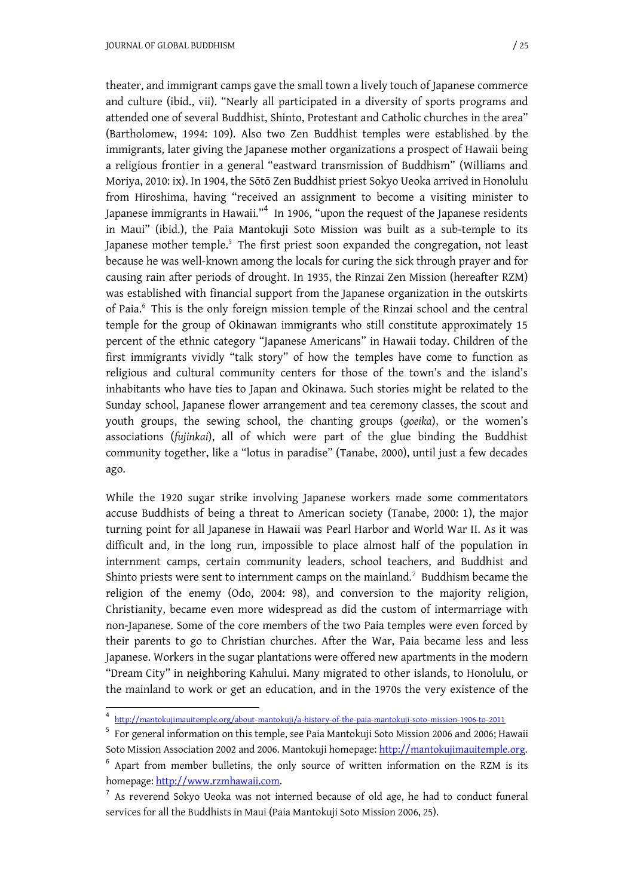theater, and immigrant camps gave the small town a lively touch of Japanese commerce and culture (ibid., vii). "Nearly all participated in a diversity of sports programs and attended one of several Buddhist, Shinto, Protestant and Catholic churches in the area" (Bartholomew, 1994: 109). Also two Zen Buddhist temples were established by the immigrants, later giving the Japanese mother organizations a prospect of Hawaii being a religious frontier in a general "eastward transmission of Buddhism" (Williams and Moriya, 2010: ix). In 1904, the Sōtō Zen Buddhist priest Sokyo Ueoka arrived in Honolulu from Hiroshima, having "received an assignment to become a visiting minister to Japanese immigrants in Hawaii." $^4\,$  In 1906, "upon the request of the Japanese residents in Maui" (ibid.), the Paia Mantokuji Soto Mission was built as a sub-temple to its Japanese mother temple.<sup>5</sup> The first priest soon expanded the congregation, not least because he was well-known among the locals for curing the sick through prayer and for causing rain after periods of drought. In 1935, the Rinzai Zen Mission (hereafter RZM) was established with financial support from the Japanese organization in the outskirts of Paia.<sup>6</sup> This is the only foreign mission temple of the Rinzai school and the central temple for the group of Okinawan immigrants who still constitute approximately 15 percent of the ethnic category "Japanese Americans" in Hawaii today. Children of the first immigrants vividly "talk story" of how the temples have come to function as religious and cultural community centers for those of the town's and the island's inhabitants who have ties to Japan and Okinawa. Such stories might be related to the Sunday school, Japanese flower arrangement and tea ceremony classes, the scout and youth groups, the sewing school, the chanting groups (*goeika*), or the women's associations (*fujinkai*), all of which were part of the glue binding the Buddhist community together, like a "lotus in paradise" (Tanabe, 2000), until just a few decades ago.

While the 1920 sugar strike involving Japanese workers made some commentators accuse Buddhists of being a threat to American society (Tanabe, 2000: 1), the major turning point for all Japanese in Hawaii was Pearl Harbor and World War II. As it was difficult and, in the long run, impossible to place almost half of the population in internment camps, certain community leaders, school teachers, and Buddhist and Shinto priests were sent to internment camps on the mainland.<sup>7</sup> Buddhism became the religion of the enemy (Odo, 2004: 98), and conversion to the majority religion, Christianity, became even more widespread as did the custom of intermarriage with non-Japanese. Some of the core members of the two Paia temples were even forced by their parents to go to Christian churches. After the War, Paia became less and less Japanese. Workers in the sugar plantations were offered new apartments in the modern "Dream City" in neighboring Kahului. Many migrated to other islands, to Honolulu, or the mainland to work or get an education, and in the 1970s the very existence of the

<sup>4</sup> <http://mantokujimauitemple.org/about-mantokuji/a-history-of-the-paia-mantokuji-soto-mission-1906-to-2011>

<sup>&</sup>lt;sup>5</sup> For general information on this temple, see Paia Mantokuji Soto Mission 2006 and 2006; Hawaii Soto Mission Association 2002 and 2006. Mantokuji homepage: [http://mantokujimauitemple.org.](http://mantokujimauitemple.org./)

<sup>&</sup>lt;sup>6</sup> Apart from member bulletins, the only source of written information on the RZM is its homepage: http://www.rzmhawaii.com.

<sup>&</sup>lt;sup>7</sup> As reverend Sokyo Ueoka was not interned because of old age, he had to conduct funeral services for all the Buddhists in Maui (Paia Mantokuji Soto Mission 2006, 25).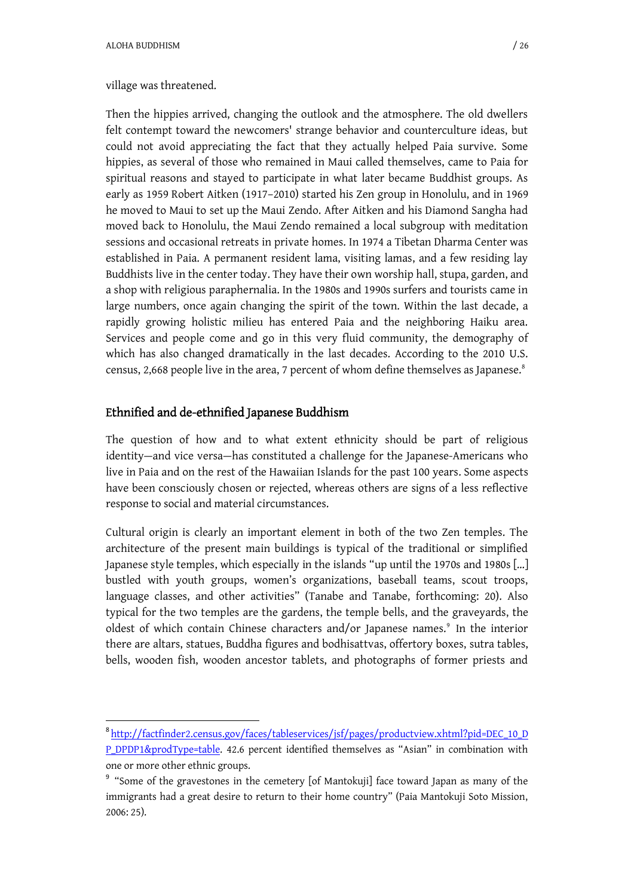#### village was threatened.

Then the hippies arrived, changing the outlook and the atmosphere. The old dwellers felt contempt toward the newcomers' strange behavior and counterculture ideas, but could not avoid appreciating the fact that they actually helped Paia survive. Some hippies, as several of those who remained in Maui called themselves, came to Paia for spiritual reasons and stayed to participate in what later became Buddhist groups. As early as 1959 Robert Aitken (1917–2010) started his Zen group in Honolulu, and in 1969 he moved to Maui to set up the Maui Zendo. After Aitken and his Diamond Sangha had moved back to Honolulu, the Maui Zendo remained a local subgroup with meditation sessions and occasional retreats in private homes. In 1974 a Tibetan Dharma Center was established in Paia. A permanent resident lama, visiting lamas, and a few residing lay Buddhists live in the center today. They have their own worship hall, stupa, garden, and a shop with religious paraphernalia. In the 1980s and 1990s surfers and tourists came in large numbers, once again changing the spirit of the town. Within the last decade, a rapidly growing holistic milieu has entered Paia and the neighboring Haiku area. Services and people come and go in this very fluid community, the demography of which has also changed dramatically in the last decades. According to the 2010 U.S. census, 2,668 people live in the area, 7 percent of whom define themselves as Japanese.<sup>8</sup>

#### Ethnified and de-ethnified Japanese Buddhism

The question of how and to what extent ethnicity should be part of religious identity—and vice versa—has constituted a challenge for the Japanese-Americans who live in Paia and on the rest of the Hawaiian Islands for the past 100 years. Some aspects have been consciously chosen or rejected, whereas others are signs of a less reflective response to social and material circumstances.

Cultural origin is clearly an important element in both of the two Zen temples. The architecture of the present main buildings is typical of the traditional or simplified Japanese style temples, which especially in the islands "up until the 1970s and 1980s […] bustled with youth groups, women's organizations, baseball teams, scout troops, language classes, and other activities" (Tanabe and Tanabe, forthcoming: 20). Also typical for the two temples are the gardens, the temple bells, and the graveyards, the oldest of which contain Chinese characters and/or Japanese names.<sup>9</sup> In the interior there are altars, statues, Buddha figures and bodhisattvas, offertory boxes, sutra tables, bells, wooden fish, wooden ancestor tablets, and photographs of former priests and

<sup>8</sup> [http://factfinder2.census.gov/faces/tableservices/jsf/pages/productview.xhtml?pid=DEC\\_10\\_D](http://factfinder2.census.gov/faces/tableservices/jsf/pages/productview.xhtml?pid=DEC_10_D) P\_DPDP1&prodType=table. 42.6 percent identified themselves as "Asian" in combination with one or more other ethnic groups.

<sup>&</sup>lt;sup>9</sup> "Some of the gravestones in the cemetery [of Mantokuji] face toward Japan as many of the immigrants had a great desire to return to their home country" (Paia Mantokuji Soto Mission, 2006: 25).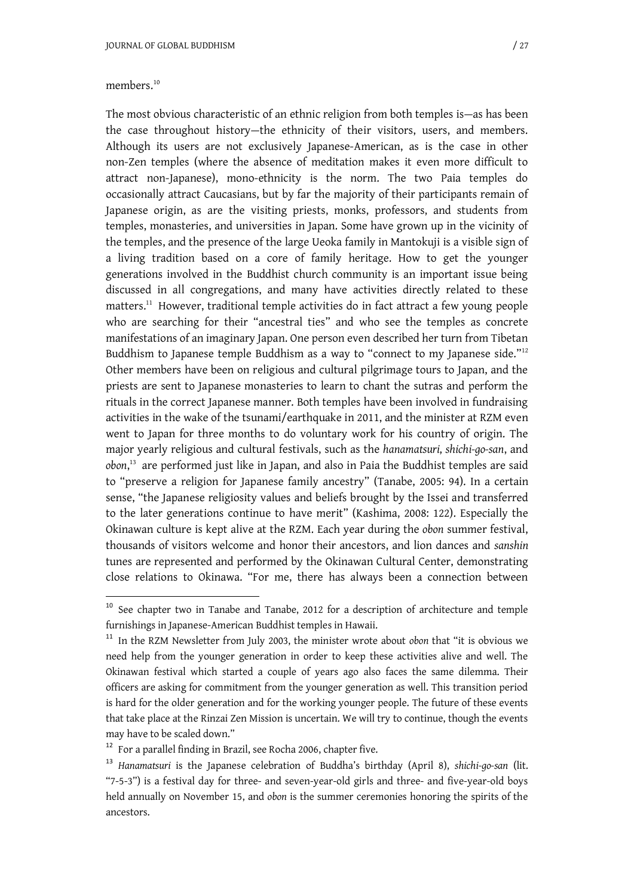The most obvious characteristic of an ethnic religion from both temples is—as has been the case throughout history—the ethnicity of their visitors, users, and members. Although its users are not exclusively Japanese-American, as is the case in other non-Zen temples (where the absence of meditation makes it even more difficult to attract non-Japanese), mono-ethnicity is the norm. The two Paia temples do occasionally attract Caucasians, but by far the majority of their participants remain of Japanese origin, as are the visiting priests, monks, professors, and students from temples, monasteries, and universities in Japan. Some have grown up in the vicinity of the temples, and the presence of the large Ueoka family in Mantokuji is a visible sign of a living tradition based on a core of family heritage. How to get the younger generations involved in the Buddhist church community is an important issue being discussed in all congregations, and many have activities directly related to these matters.<sup>11</sup> However, traditional temple activities do in fact attract a few young people who are searching for their "ancestral ties" and who see the temples as concrete manifestations of an imaginary Japan. One person even described her turn from Tibetan Buddhism to Japanese temple Buddhism as a way to "connect to my Japanese side."<sup>12</sup> Other members have been on religious and cultural pilgrimage tours to Japan, and the priests are sent to Japanese monasteries to learn to chant the sutras and perform the rituals in the correct Japanese manner. Both temples have been involved in fundraising activities in the wake of the tsunami/earthquake in 2011, and the minister at RZM even went to Japan for three months to do voluntary work for his country of origin. The major yearly religious and cultural festivals, such as the *hanamatsuri*, *shichi-go-san*, and *obon*, <sup>13</sup> are performed just like in Japan, and also in Paia the Buddhist temples are said to "preserve a religion for Japanese family ancestry" (Tanabe, 2005: 94). In a certain sense, "the Japanese religiosity values and beliefs brought by the Issei and transferred to the later generations continue to have merit" (Kashima, 2008: 122). Especially the Okinawan culture is kept alive at the RZM. Each year during the *obon* summer festival, thousands of visitors welcome and honor their ancestors, and lion dances and *sanshin* tunes are represented and performed by the Okinawan Cultural Center, demonstrating close relations to Okinawa. "For me, there has always been a connection between

 $10$  See chapter two in Tanabe and Tanabe, 2012 for a description of architecture and temple furnishings in Japanese-American Buddhist temples in Hawaii.

<sup>11</sup> In the RZM Newsletter from July 2003, the minister wrote about *obon* that "it is obvious we need help from the younger generation in order to keep these activities alive and well. The Okinawan festival which started a couple of years ago also faces the same dilemma. Their officers are asking for commitment from the younger generation as well. This transition period is hard for the older generation and for the working younger people. The future of these events that take place at the Rinzai Zen Mission is uncertain. We will try to continue, though the events may have to be scaled down."

<sup>&</sup>lt;sup>12</sup> For a parallel finding in Brazil, see Rocha 2006, chapter five.

<sup>13</sup> *Hanamatsuri* is the Japanese celebration of Buddha's birthday (April 8), *shichi-go-san* (lit. "7-5-3") is a festival day for three- and seven-year-old girls and three- and five-year-old boys held annually on November 15, and *obon* is the summer ceremonies honoring the spirits of the ancestors.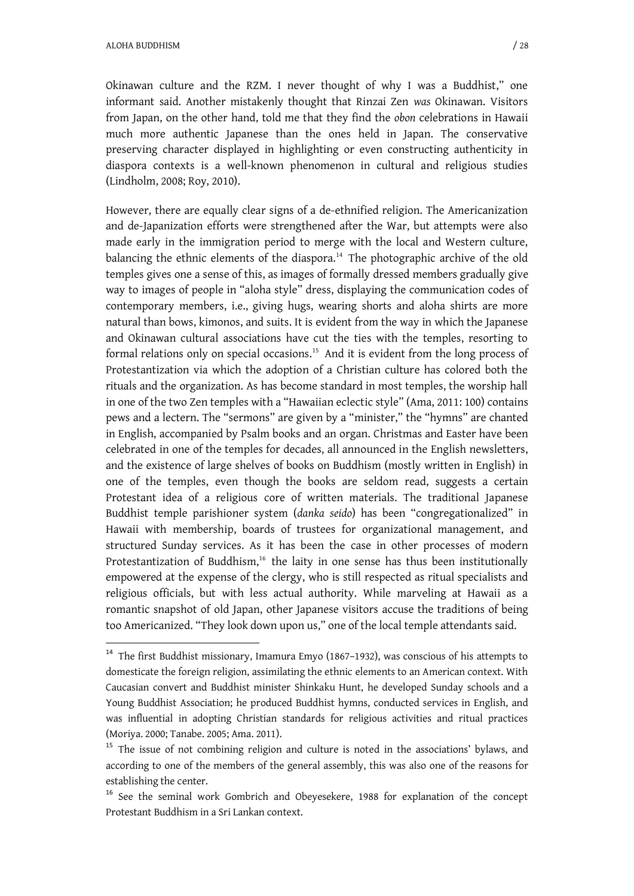Okinawan culture and the RZM. I never thought of why I was a Buddhist," one informant said. Another mistakenly thought that Rinzai Zen *was* Okinawan. Visitors from Japan, on the other hand, told me that they find the *obon* celebrations in Hawaii much more authentic Japanese than the ones held in Japan. The conservative preserving character displayed in highlighting or even constructing authenticity in diaspora contexts is a well-known phenomenon in cultural and religious studies (Lindholm, 2008; Roy, 2010).

However, there are equally clear signs of a de-ethnified religion. The Americanization and de-Japanization efforts were strengthened after the War, but attempts were also made early in the immigration period to merge with the local and Western culture, balancing the ethnic elements of the diaspora.<sup>14</sup> The photographic archive of the old temples gives one a sense of this, as images of formally dressed members gradually give way to images of people in "aloha style" dress, displaying the communication codes of contemporary members, i.e., giving hugs, wearing shorts and aloha shirts are more natural than bows, kimonos, and suits. It is evident from the way in which the Japanese and Okinawan cultural associations have cut the ties with the temples, resorting to formal relations only on special occasions.<sup>15</sup> And it is evident from the long process of Protestantization via which the adoption of a Christian culture has colored both the rituals and the organization. As has become standard in most temples, the worship hall in one of the two Zen temples with a "Hawaiian eclectic style" (Ama, 2011: 100) contains pews and a lectern. The "sermons" are given by a "minister," the "hymns" are chanted in English, accompanied by Psalm books and an organ. Christmas and Easter have been celebrated in one of the temples for decades, all announced in the English newsletters, and the existence of large shelves of books on Buddhism (mostly written in English) in one of the temples, even though the books are seldom read, suggests a certain Protestant idea of a religious core of written materials. The traditional Japanese Buddhist temple parishioner system (*danka seido*) has been "congregationalized" in Hawaii with membership, boards of trustees for organizational management, and structured Sunday services. As it has been the case in other processes of modern Protestantization of Buddhism, $16$  the laity in one sense has thus been institutionally empowered at the expense of the clergy, who is still respected as ritual specialists and religious officials, but with less actual authority. While marveling at Hawaii as a romantic snapshot of old Japan, other Japanese visitors accuse the traditions of being too Americanized. "They look down upon us," one of the local temple attendants said.

<sup>&</sup>lt;sup>14</sup> The first Buddhist missionary, Imamura Emyo (1867-1932), was conscious of his attempts to domesticate the foreign religion, assimilating the ethnic elements to an American context. With Caucasian convert and Buddhist minister Shinkaku Hunt, he developed Sunday schools and a Young Buddhist Association; he produced Buddhist hymns, conducted services in English, and was influential in adopting Christian standards for religious activities and ritual practices (Moriya. 2000; Tanabe. 2005; Ama. 2011).

<sup>&</sup>lt;sup>15</sup> The issue of not combining religion and culture is noted in the associations' bylaws, and according to one of the members of the general assembly, this was also one of the reasons for establishing the center.

<sup>&</sup>lt;sup>16</sup> See the seminal work Gombrich and Obeyesekere, 1988 for explanation of the concept Protestant Buddhism in a Sri Lankan context.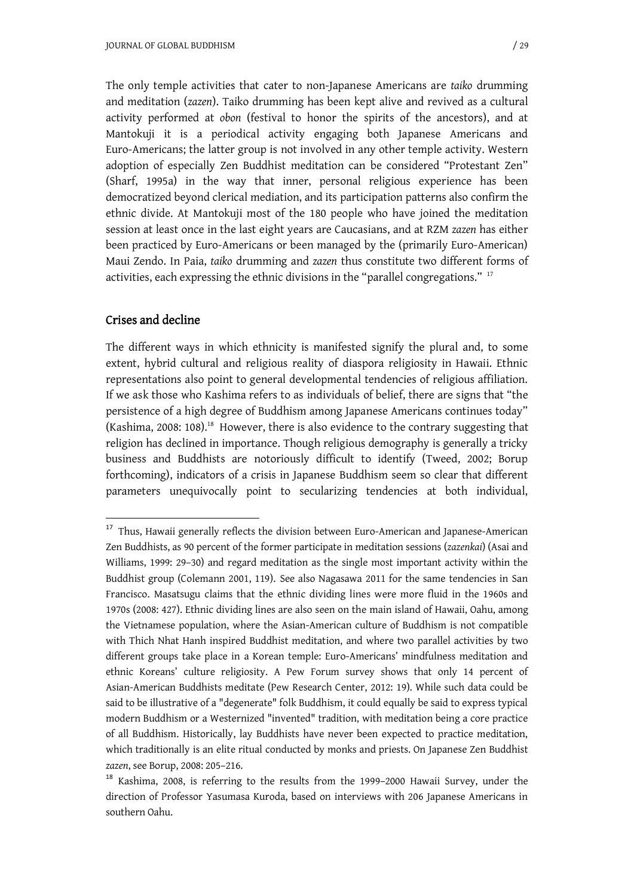The only temple activities that cater to non-Japanese Americans are *taiko* drumming and meditation (*zazen*). Taiko drumming has been kept alive and revived as a cultural activity performed at *obon* (festival to honor the spirits of the ancestors), and at Mantokuji it is a periodical activity engaging both Japanese Americans and Euro-Americans; the latter group is not involved in any other temple activity. Western adoption of especially Zen Buddhist meditation can be considered "Protestant Zen" (Sharf, 1995a) in the way that inner, personal religious experience has been democratized beyond clerical mediation, and its participation patterns also confirm the ethnic divide. At Mantokuji most of the 180 people who have joined the meditation session at least once in the last eight years are Caucasians, and at RZM *zazen* has either been practiced by Euro-Americans or been managed by the (primarily Euro-American) Maui Zendo. In Paia, *taiko* drumming and *zazen* thus constitute two different forms of activities, each expressing the ethnic divisions in the "parallel congregations."  $^{17}$ 

#### Crises and decline

-

The different ways in which ethnicity is manifested signify the plural and, to some extent, hybrid cultural and religious reality of diaspora religiosity in Hawaii. Ethnic representations also point to general developmental tendencies of religious affiliation. If we ask those who Kashima refers to as individuals of belief, there are signs that "the persistence of a high degree of Buddhism among Japanese Americans continues today" (Kashima, 2008: 108).<sup>18</sup> However, there is also evidence to the contrary suggesting that religion has declined in importance. Though religious demography is generally a tricky business and Buddhists are notoriously difficult to identify (Tweed, 2002; Borup forthcoming), indicators of a crisis in Japanese Buddhism seem so clear that different parameters unequivocally point to secularizing tendencies at both individual,

<sup>&</sup>lt;sup>17</sup> Thus, Hawaii generally reflects the division between Euro-American and Japanese-American Zen Buddhists, as 90 percent of the former participate in meditation sessions (*zazenkai*) (Asai and Williams, 1999: 29–30) and regard meditation as the single most important activity within the Buddhist group (Colemann 2001, 119). See also Nagasawa 2011 for the same tendencies in San Francisco. Masatsugu claims that the ethnic dividing lines were more fluid in the 1960s and 1970s (2008: 427). Ethnic dividing lines are also seen on the main island of Hawaii, Oahu, among the Vietnamese population, where the Asian-American culture of Buddhism is not compatible with Thich Nhat Hanh inspired Buddhist meditation, and where two parallel activities by two different groups take place in a Korean temple: Euro-Americans' mindfulness meditation and ethnic Koreans' culture religiosity. A Pew Forum survey shows that only 14 percent of Asian-American Buddhists meditate (Pew Research Center, 2012: 19). While such data could be said to be illustrative of a "degenerate" folk Buddhism, it could equally be said to express typical modern Buddhism or a Westernized "invented" tradition, with meditation being a core practice of all Buddhism. Historically, lay Buddhists have never been expected to practice meditation, which traditionally is an elite ritual conducted by monks and priests. On Japanese Zen Buddhist *zazen*, see Borup, 2008: 205–216.

<sup>18</sup> Kashima, 2008, is referring to the results from the 1999–2000 Hawaii Survey, under the direction of Professor Yasumasa Kuroda, based on interviews with 206 Japanese Americans in southern Oahu.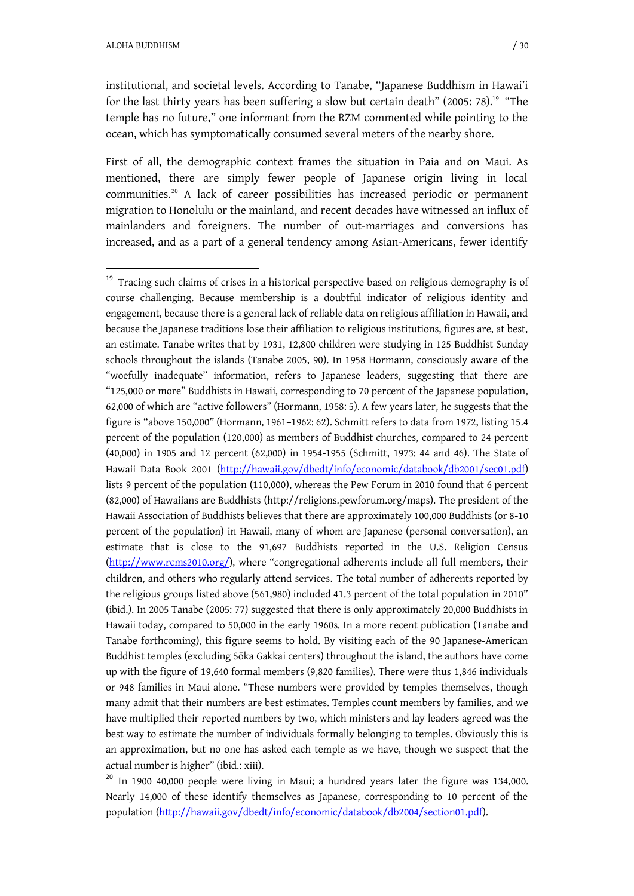institutional, and societal levels. According to Tanabe, "Japanese Buddhism in Hawai'i for the last thirty years has been suffering a slow but certain death" (2005: 78).<sup>19</sup> "The temple has no future," one informant from the RZM commented while pointing to the ocean, which has symptomatically consumed several meters of the nearby shore.

First of all, the demographic context frames the situation in Paia and on Maui. As mentioned, there are simply fewer people of Japanese origin living in local communities.<sup>20</sup> A lack of career possibilities has increased periodic or permanent migration to Honolulu or the mainland, and recent decades have witnessed an influx of mainlanders and foreigners. The number of out-marriages and conversions has increased, and as a part of a general tendency among Asian-Americans, fewer identify

<sup>20</sup> In 1900 40,000 people were living in Maui; a hundred years later the figure was 134,000. Nearly 14,000 of these identify themselves as Japanese, corresponding to 10 percent of the population ([http://hawaii.gov/dbedt/info/economic/databook/db2004/section01.pdf\).](http://hawaii.gov/dbedt/info/economic/databook/db2004/section01.pdf).)

<sup>&</sup>lt;sup>19</sup> Tracing such claims of crises in a historical perspective based on religious demography is of course challenging. Because membership is a doubtful indicator of religious identity and engagement, because there is a general lack of reliable data on religious affiliation in Hawaii, and because the Japanese traditions lose their affiliation to religious institutions, figures are, at best, an estimate. Tanabe writes that by 1931, 12,800 children were studying in 125 Buddhist Sunday schools throughout the islands (Tanabe 2005, 90). In 1958 Hormann, consciously aware of the "woefully inadequate" information, refers to Japanese leaders, suggesting that there are "125,000 or more" Buddhists in Hawaii, corresponding to 70 percent of the Japanese population, 62,000 of which are "active followers" (Hormann, 1958: 5). A few years later, he suggests that the figure is "above 150,000" (Hormann, 1961–1962: 62). Schmitt refers to data from 1972, listing 15.4 percent of the population (120,000) as members of Buddhist churches, compared to 24 percent (40,000) in 1905 and 12 percent (62,000) in 1954-1955 (Schmitt, 1973: 44 and 46). The State of Hawaii Data Book 2001 (<http://hawaii.gov/dbedt/info/economic/databook/db2001/sec01.pdf>) lists 9 percent of the population (110,000), whereas the Pew Forum in 2010 found that 6 percent (82,000) of Hawaiians are Buddhists [\(http://religions.pewforum.org/maps\).](http://religions.pewforum.org/maps).) The president of the Hawaii Association of Buddhists believes that there are approximately 100,000 Buddhists (or 8-10 percent of the population) in Hawaii, many of whom are Japanese (personal conversation), an estimate that is close to the 91,697 Buddhists reported in the U.S. Religion Census [\(http://www.rcms2010.org/\)](http://www.rcms2010.org/), where "congregational adherents include all full members, their children, and others who regularly attend services. The total number of adherents reported by the religious groups listed above (561,980) included 41.3 percent of the total population in 2010" (ibid.). In 2005 Tanabe (2005: 77) suggested that there is only approximately 20,000 Buddhists in Hawaii today, compared to 50,000 in the early 1960s. In a more recent publication (Tanabe and Tanabe forthcoming), this figure seems to hold. By visiting each of the 90 Japanese-American Buddhist temples (excluding Sōka Gakkai centers) throughout the island, the authors have come up with the figure of 19,640 formal members (9,820 families). There were thus 1,846 individuals or 948 families in Maui alone. "These numbers were provided by temples themselves, though many admit that their numbers are best estimates. Temples count members by families, and we have multiplied their reported numbers by two, which ministers and lay leaders agreed was the best way to estimate the number of individuals formally belonging to temples. Obviously this is an approximation, but no one has asked each temple as we have, though we suspect that the actual number is higher" (ibid.: xiii).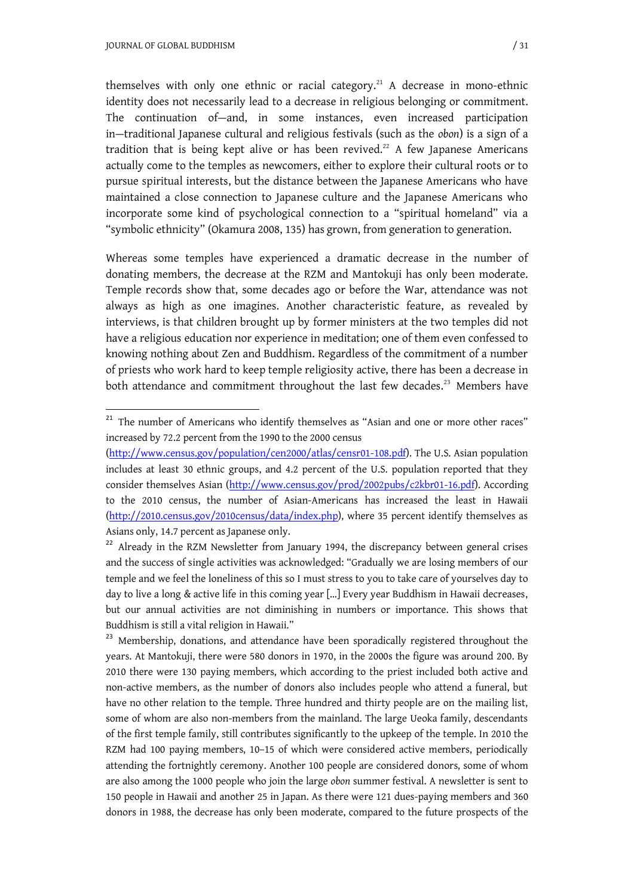themselves with only one ethnic or racial category.<sup>21</sup> A decrease in mono-ethnic identity does not necessarily lead to a decrease in religious belonging or commitment. The continuation of—and, in some instances, even increased participation in—traditional Japanese cultural and religious festivals (such as the *obon*) is a sign of a tradition that is being kept alive or has been revived.<sup>22</sup> A few Japanese Americans actually come to the temples as newcomers, either to explore their cultural roots or to pursue spiritual interests, but the distance between the Japanese Americans who have maintained a close connection to Japanese culture and the Japanese Americans who incorporate some kind of psychological connection to a "spiritual homeland" via a "symbolic ethnicity" (Okamura 2008, 135) has grown, from generation to generation.

Whereas some temples have experienced a dramatic decrease in the number of donating members, the decrease at the RZM and Mantokuji has only been moderate. Temple records show that, some decades ago or before the War, attendance was not always as high as one imagines. Another characteristic feature, as revealed by interviews, is that children brought up by former ministers at the two temples did not have a religious education nor experience in meditation; one of them even confessed to knowing nothing about Zen and Buddhism. Regardless of the commitment of a number of priests who work hard to keep temple religiosity active, there has been a decrease in both attendance and commitment throughout the last few decades.<sup>23</sup> Members have

<sup>23</sup> Membership, donations, and attendance have been sporadically registered throughout the years. At Mantokuji, there were 580 donors in 1970, in the 2000s the figure was around 200. By 2010 there were 130 paying members, which according to the priest included both active and non-active members, as the number of donors also includes people who attend a funeral, but have no other relation to the temple. Three hundred and thirty people are on the mailing list, some of whom are also non-members from the mainland. The large Ueoka family, descendants of the first temple family, still contributes significantly to the upkeep of the temple. In 2010 the RZM had 100 paying members, 10–15 of which were considered active members, periodically attending the fortnightly ceremony. Another 100 people are considered donors, some of whom are also among the 1000 people who join the large *obon* summer festival. A newsletter is sent to 150 people in Hawaii and another 25 in Japan. As there were 121 dues-paying members and 360 donors in 1988, the decrease has only been moderate, compared to the future prospects of the

<sup>&</sup>lt;sup>21</sup> The number of Americans who identify themselves as "Asian and one or more other races" increased by 72.2 percent from the 1990 to the 2000 census

[<sup>\(</sup>http://www.census.gov/population/cen2000/atlas/censr01-108.pdf\).](http://www.census.gov/population/cen2000/atlas/censr01-108.pdf).) The U.S. Asian population includes at least 30 ethnic groups, and 4.2 percent of the U.S. population reported that they consider themselves Asian [\(http://www.census.gov/prod/2002pubs/c2kbr01-16.pdf\).](http://www.census.gov/prod/2002pubs/c2kbr01-16.pdf).) According to the 2010 census, the number of Asian-Americans has increased the least in Hawaii [\(http://2010.census.gov/2010census/data/index.php\)](http://2010.census.gov/2010census/data/index.php), where 35 percent identify themselves as Asians only, 14.7 percent as Japanese only.

<sup>&</sup>lt;sup>22</sup> Already in the RZM Newsletter from January 1994, the discrepancy between general crises and the success of single activities was acknowledged: "Gradually we are losing members of our temple and we feel the loneliness of this so I must stress to you to take care of yourselves day to day to live a long & active life in this coming year […] Every year Buddhism in Hawaii decreases, but our annual activities are not diminishing in numbers or importance. This shows that Buddhism is still a vital religion in Hawaii."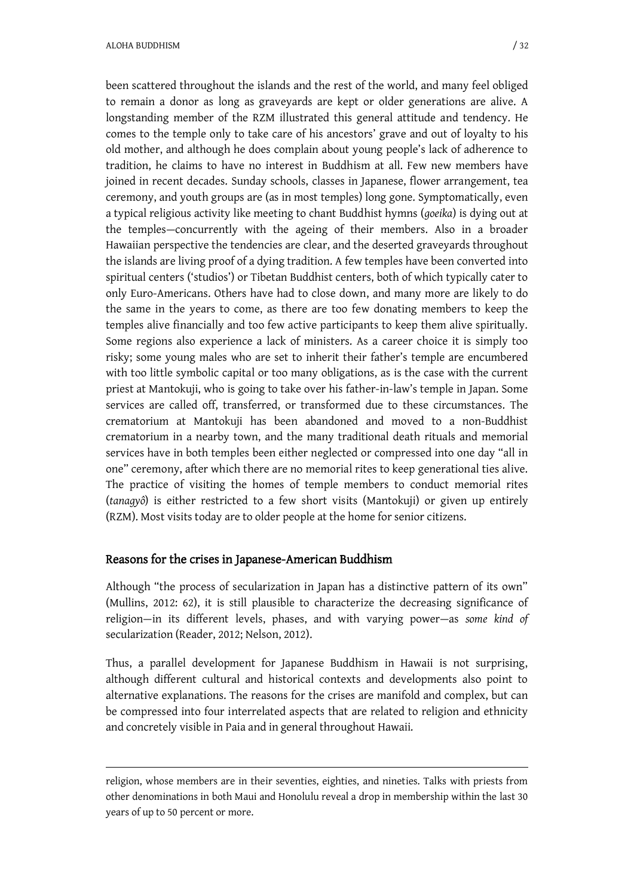been scattered throughout the islands and the rest of the world, and many feel obliged to remain a donor as long as graveyards are kept or older generations are alive. A longstanding member of the RZM illustrated this general attitude and tendency. He comes to the temple only to take care of his ancestors' grave and out of loyalty to his old mother, and although he does complain about young people's lack of adherence to tradition, he claims to have no interest in Buddhism at all. Few new members have joined in recent decades. Sunday schools, classes in Japanese, flower arrangement, tea ceremony, and youth groups are (as in most temples) long gone. Symptomatically, even a typical religious activity like meeting to chant Buddhist hymns (*goeika*) is dying out at the temples—concurrently with the ageing of their members. Also in a broader Hawaiian perspective the tendencies are clear, and the deserted graveyards throughout the islands are living proof of a dying tradition. A few temples have been converted into spiritual centers ('studios') or Tibetan Buddhist centers, both of which typically cater to only Euro-Americans. Others have had to close down, and many more are likely to do the same in the years to come, as there are too few donating members to keep the temples alive financially and too few active participants to keep them alive spiritually. Some regions also experience a lack of ministers. As a career choice it is simply too risky; some young males who are set to inherit their father's temple are encumbered with too little symbolic capital or too many obligations, as is the case with the current priest at Mantokuji, who is going to take over his father-in-law's temple in Japan. Some services are called off, transferred, or transformed due to these circumstances. The crematorium at Mantokuji has been abandoned and moved to a non-Buddhist crematorium in a nearby town, and the many traditional death rituals and memorial services have in both temples been either neglected or compressed into one day "all in one" ceremony, after which there are no memorial rites to keep generational ties alive. The practice of visiting the homes of temple members to conduct memorial rites (*tanagyô*) is either restricted to a few short visits (Mantokuji) or given up entirely (RZM). Most visits today are to older people at the home for senior citizens.

#### Reasons for the crises in Japanese-American Buddhism

Although "the process of secularization in Japan has a distinctive pattern of its own" (Mullins, 2012: 62), it is still plausible to characterize the decreasing significance of religion—in its different levels, phases, and with varying power—as *some kind of* secularization (Reader, 2012; Nelson, 2012).

Thus, a parallel development for Japanese Buddhism in Hawaii is not surprising, although different cultural and historical contexts and developments also point to alternative explanations. The reasons for the crises are manifold and complex, but can be compressed into four interrelated aspects that are related to religion and ethnicity and concretely visible in Paia and in general throughout Hawaii.

religion, whose members are in their seventies, eighties, and nineties. Talks with priests from other denominations in both Maui and Honolulu reveal a drop in membership within the last 30 years of up to 50 percent or more.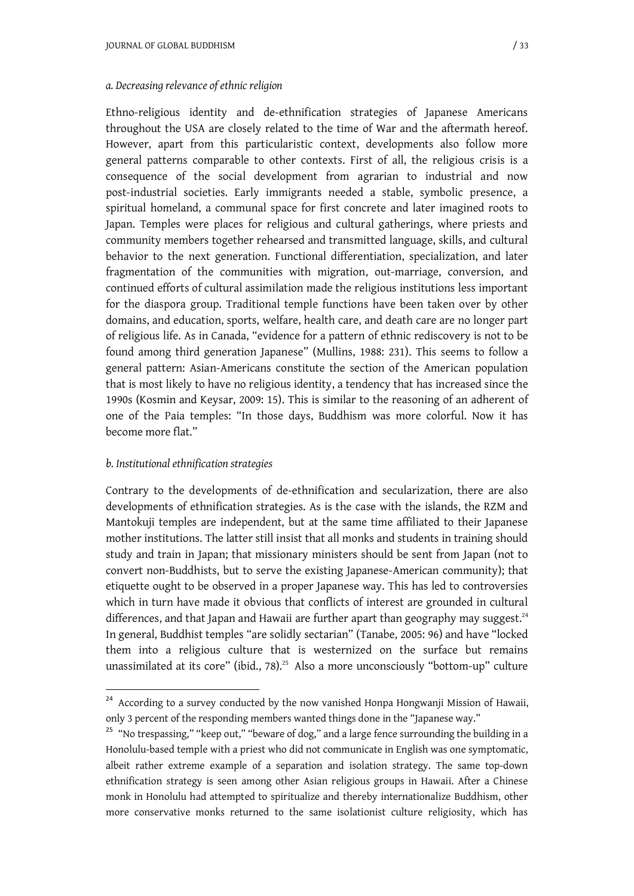#### *a. Decreasing relevance of ethnic religion*

Ethno-religious identity and de-ethnification strategies of Japanese Americans throughout the USA are closely related to the time of War and the aftermath hereof. However, apart from this particularistic context, developments also follow more general patterns comparable to other contexts. First of all, the religious crisis is a consequence of the social development from agrarian to industrial and now post-industrial societies. Early immigrants needed a stable, symbolic presence, a spiritual homeland, a communal space for first concrete and later imagined roots to Japan. Temples were places for religious and cultural gatherings, where priests and community members together rehearsed and transmitted language, skills, and cultural behavior to the next generation. Functional differentiation, specialization, and later fragmentation of the communities with migration, out-marriage, conversion, and continued efforts of cultural assimilation made the religious institutions less important for the diaspora group. Traditional temple functions have been taken over by other domains, and education, sports, welfare, health care, and death care are no longer part of religious life. As in Canada, "evidence for a pattern of ethnic rediscovery is not to be found among third generation Japanese" (Mullins, 1988: 231). This seems to follow a general pattern: Asian-Americans constitute the section of the American population that is most likely to have no religious identity, a tendency that has increased since the 1990s (Kosmin and Keysar, 2009: 15). This is similar to the reasoning of an adherent of one of the Paia temples: "In those days, Buddhism was more colorful. Now it has become more flat."

#### *b. Institutional ethnification strategies*

-

Contrary to the developments of de-ethnification and secularization, there are also developments of ethnification strategies. As is the case with the islands, the RZM and Mantokuji temples are independent, but at the same time affiliated to their Japanese mother institutions. The latter still insist that all monks and students in training should study and train in Japan; that missionary ministers should be sent from Japan (not to convert non-Buddhists, but to serve the existing Japanese-American community); that etiquette ought to be observed in a proper Japanese way. This has led to controversies which in turn have made it obvious that conflicts of interest are grounded in cultural differences, and that Japan and Hawaii are further apart than geography may suggest. $24$ In general, Buddhist temples "are solidly sectarian" (Tanabe, 2005: 96) and have "locked them into a religious culture that is westernized on the surface but remains unassimilated at its core" (ibid., 78).<sup>25</sup> Also a more unconsciously "bottom-up" culture

<sup>&</sup>lt;sup>24</sup> According to a survey conducted by the now vanished Honpa Hongwanji Mission of Hawaii, only 3 percent of the responding members wanted things done in the "Japanese way."

<sup>&</sup>lt;sup>25</sup> "No trespassing," "keep out," "beware of dog," and a large fence surrounding the building in a Honolulu-based temple with a priest who did not communicate in English was one symptomatic, albeit rather extreme example of a separation and isolation strategy. The same top-down ethnification strategy is seen among other Asian religious groups in Hawaii. After a Chinese monk in Honolulu had attempted to spiritualize and thereby internationalize Buddhism, other more conservative monks returned to the same isolationist culture religiosity, which has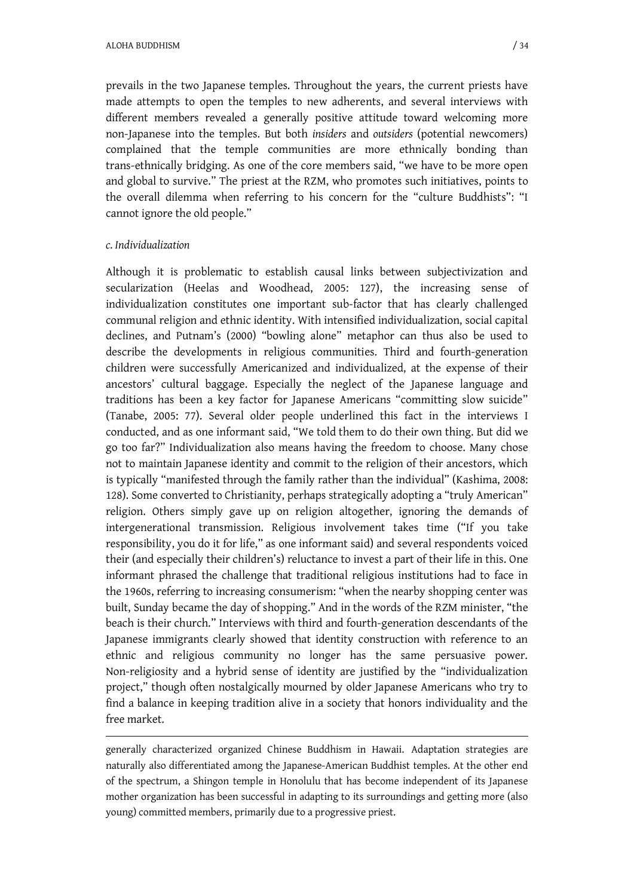prevails in the two Japanese temples. Throughout the years, the current priests have made attempts to open the temples to new adherents, and several interviews with different members revealed a generally positive attitude toward welcoming more non-Japanese into the temples. But both *insiders* and *outsiders* (potential newcomers) complained that the temple communities are more ethnically bonding than trans-ethnically bridging. As one of the core members said, "we have to be more open and global to survive." The priest at the RZM, who promotes such initiatives, points to the overall dilemma when referring to his concern for the "culture Buddhists": "I cannot ignore the old people."

#### *c. Individualization*

-

Although it is problematic to establish causal links between subjectivization and secularization (Heelas and Woodhead, 2005: 127), the increasing sense of individualization constitutes one important sub-factor that has clearly challenged communal religion and ethnic identity. With intensified individualization, social capital declines, and Putnam's (2000) "bowling alone" metaphor can thus also be used to describe the developments in religious communities. Third and fourth-generation children were successfully Americanized and individualized, at the expense of their ancestors' cultural baggage. Especially the neglect of the Japanese language and traditions has been a key factor for Japanese Americans "committing slow suicide" (Tanabe, 2005: 77). Several older people underlined this fact in the interviews I conducted, and as one informant said, "We told them to do their own thing. But did we go too far?" Individualization also means having the freedom to choose. Many chose not to maintain Japanese identity and commit to the religion of their ancestors, which is typically "manifested through the family rather than the individual" (Kashima, 2008: 128). Some converted to Christianity, perhaps strategically adopting a "truly American" religion. Others simply gave up on religion altogether, ignoring the demands of intergenerational transmission. Religious involvement takes time ("If you take responsibility, you do it for life," as one informant said) and several respondents voiced their (and especially their children's) reluctance to invest a part of their life in this. One informant phrased the challenge that traditional religious institutions had to face in the 1960s, referring to increasing consumerism: "when the nearby shopping center was built, Sunday became the day of shopping." And in the words of the RZM minister, "the beach is their church." Interviews with third and fourth-generation descendants of the Japanese immigrants clearly showed that identity construction with reference to an ethnic and religious community no longer has the same persuasive power. Non-religiosity and a hybrid sense of identity are justified by the "individualization project," though often nostalgically mourned by older Japanese Americans who try to find a balance in keeping tradition alive in a society that honors individuality and the free market.

generally characterized organized Chinese Buddhism in Hawaii. Adaptation strategies are naturally also differentiated among the Japanese-American Buddhist temples. At the other end of the spectrum, a Shingon temple in Honolulu that has become independent of its Japanese mother organization has been successful in adapting to its surroundings and getting more (also young) committed members, primarily due to a progressive priest.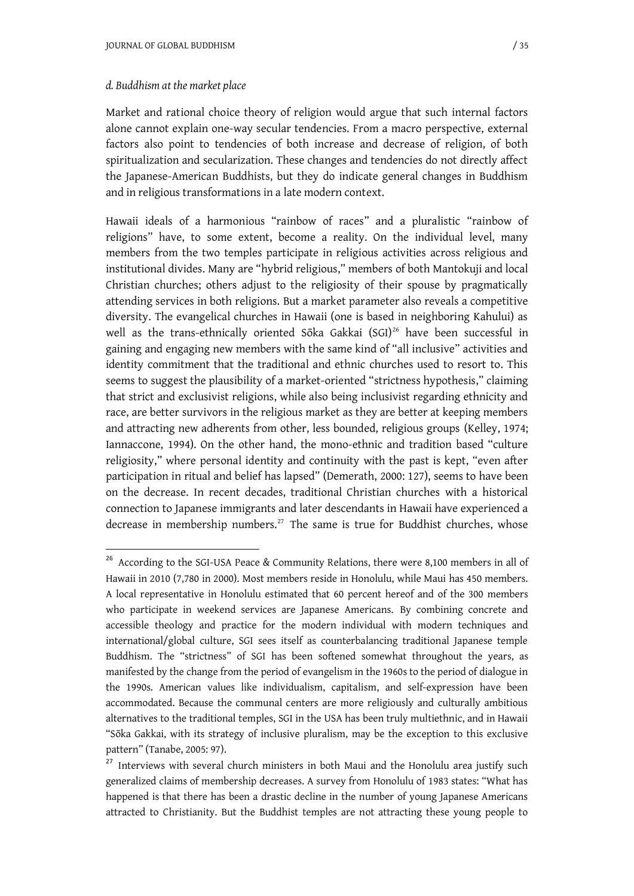Market and rational choice theory of religion would argue that such internal factors alone cannot explain one-way secular tendencies. From a macro perspective, external factors also point to tendencies of both increase and decrease of religion, of both spiritualization and secularization. These changes and tendencies do not directly affect the Japanese-American Buddhists, but they do indicate general changes in Buddhism and in religious transformations in a late modern context.

Hawaii ideals of a harmonious "rainbow of races" and a pluralistic "rainbow of religions" have, to some extent, become a reality. On the individual level, many members from the two temples participate in religious activities across religious and institutional divides. Many are "hybrid religious," members of both Mantokuji and local Christian churches; others adjust to the religiosity of their spouse by pragmatically attending services in both religions. But a market parameter also reveals a competitive diversity. The evangelical churches in Hawaii (one is based in neighboring Kahului) as well as the trans-ethnically oriented Sōka Gakkai (SGI)<sup>26</sup> have been successful in gaining and engaging new members with the same kind of "all inclusive" activities and identity commitment that the traditional and ethnic churches used to resort to. This seems to suggest the plausibility of a market-oriented "strictness hypothesis," claiming that strict and exclusivist religions, while also being inclusivist regarding ethnicity and race, are better survivors in the religious market as they are better at keeping members and attracting new adherents from other, less bounded, religious groups (Kelley, 1974; Iannaccone, 1994). On the other hand, the mono-ethnic and tradition based "culture religiosity," where personal identity and continuity with the past is kept, "even after participation in ritual and belief has lapsed" (Demerath, 2000: 127), seems to have been on the decrease. In recent decades, traditional Christian churches with a historical connection to Japanese immigrants and later descendants in Hawaii have experienced a decrease in membership numbers.<sup>27</sup> The same is true for Buddhist churches, whose

<sup>&</sup>lt;sup>26</sup> According to the SGI-USA Peace & Community Relations, there were 8,100 members in all of Hawaii in 2010 (7,780 in 2000). Most members reside in Honolulu, while Maui has 450 members. A local representative in Honolulu estimated that 60 percent hereof and of the 300 members who participate in weekend services are Japanese Americans. By combining concrete and accessible theology and practice for the modern individual with modern techniques and international/global culture, SGI sees itself as counterbalancing traditional Japanese temple Buddhism. The "strictness" of SGI has been softened somewhat throughout the years, as manifested by the change from the period of evangelism in the 1960s to the period of dialogue in the 1990s. American values like individualism, capitalism, and self-expression have been accommodated. Because the communal centers are more religiously and culturally ambitious alternatives to the traditional temples, SGI in the USA has been truly multiethnic, and in Hawaii "Sگka Gakkai, with its strategy of inclusive pluralism, may be the exception to this exclusive pattern" (Tanabe, 2005: 97).

<sup>&</sup>lt;sup>27</sup> Interviews with several church ministers in both Maui and the Honolulu area justify such generalized claims of membership decreases. A survey from Honolulu of 1983 states: "What has happened is that there has been a drastic decline in the number of young Japanese Americans attracted to Christianity. But the Buddhist temples are not attracting these young people to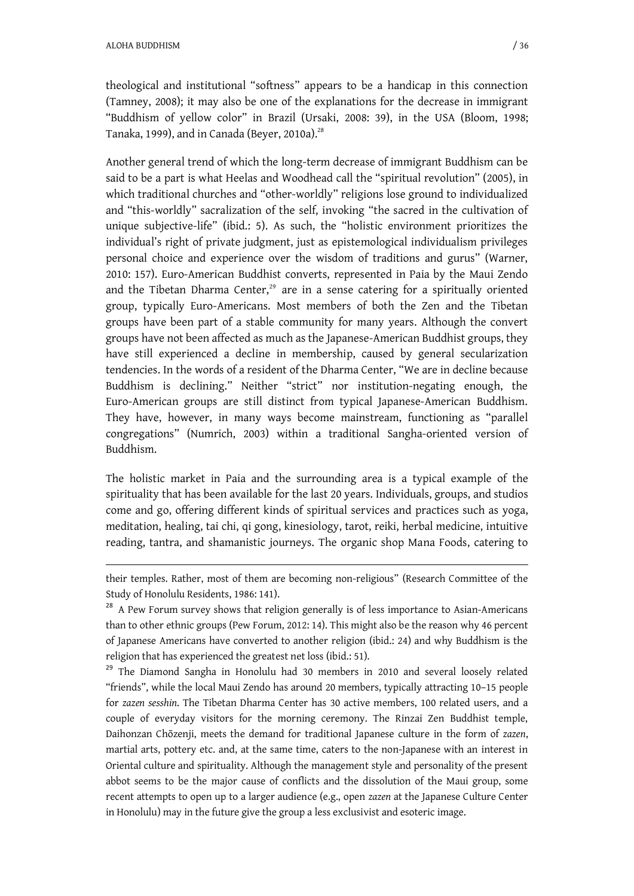theological and institutional "softness" appears to be a handicap in this connection (Tamney, 2008); it may also be one of the explanations for the decrease in immigrant "Buddhism of yellow color" in Brazil (Ursaki, 2008: 39), in the USA (Bloom, 1998; Tanaka, 1999), and in Canada (Beyer, 2010a).<sup>28</sup>

Another general trend of which the long-term decrease of immigrant Buddhism can be said to be a part is what Heelas and Woodhead call the "spiritual revolution" (2005), in which traditional churches and "other-worldly" religions lose ground to individualized and "this-worldly" sacralization of the self, invoking "the sacred in the cultivation of unique subjective-life" (ibid.: 5). As such, the "holistic environment prioritizes the individual's right of private judgment, just as epistemological individualism privileges personal choice and experience over the wisdom of traditions and gurus" (Warner, 2010: 157). Euro-American Buddhist converts, represented in Paia by the Maui Zendo and the Tibetan Dharma Center, $29$  are in a sense catering for a spiritually oriented group, typically Euro-Americans. Most members of both the Zen and the Tibetan groups have been part of a stable community for many years. Although the convert groups have not been affected as much as the Japanese-American Buddhist groups, they have still experienced a decline in membership, caused by general secularization tendencies. In the words of a resident of the Dharma Center, "We are in decline because Buddhism is declining." Neither "strict" nor institution-negating enough, the Euro-American groups are still distinct from typical Japanese-American Buddhism. They have, however, in many ways become mainstream, functioning as "parallel congregations" (Numrich, 2003) within a traditional Sangha-oriented version of Buddhism.

The holistic market in Paia and the surrounding area is a typical example of the spirituality that has been available for the last 20 years. Individuals, groups, and studios come and go, offering different kinds of spiritual services and practices such as yoga, meditation, healing, tai chi, qi gong, kinesiology, tarot, reiki, herbal medicine, intuitive reading, tantra, and shamanistic journeys. The organic shop Mana Foods, catering to

their temples. Rather, most of them are becoming non-religious" (Research Committee of the Study of Honolulu Residents, 1986: 141).

<sup>&</sup>lt;sup>28</sup> A Pew Forum survey shows that religion generally is of less importance to Asian-Americans than to other ethnic groups (Pew Forum, 2012: 14). This might also be the reason why 46 percent of Japanese Americans have converted to another religion (ibid.: 24) and why Buddhism is the religion that has experienced the greatest net loss (ibid.: 51).

<sup>&</sup>lt;sup>29</sup> The Diamond Sangha in Honolulu had 30 members in 2010 and several loosely related "friends", while the local Maui Zendo has around 20 members, typically attracting 10–15 people for *zazen sesshin*. The Tibetan Dharma Center has 30 active members, 100 related users, and a couple of everyday visitors for the morning ceremony. The Rinzai Zen Buddhist temple, Daihonzan Chگzenji, meets the demand for traditional Japanese culture in the form of *zazen*, martial arts, pottery etc. and, at the same time, caters to the non-Japanese with an interest in Oriental culture and spirituality. Although the management style and personality of the present abbot seems to be the major cause of conflicts and the dissolution of the Maui group, some recent attempts to open up to a larger audience (e.g., open *zazen* at the Japanese Culture Center in Honolulu) may in the future give the group a less exclusivist and esoteric image.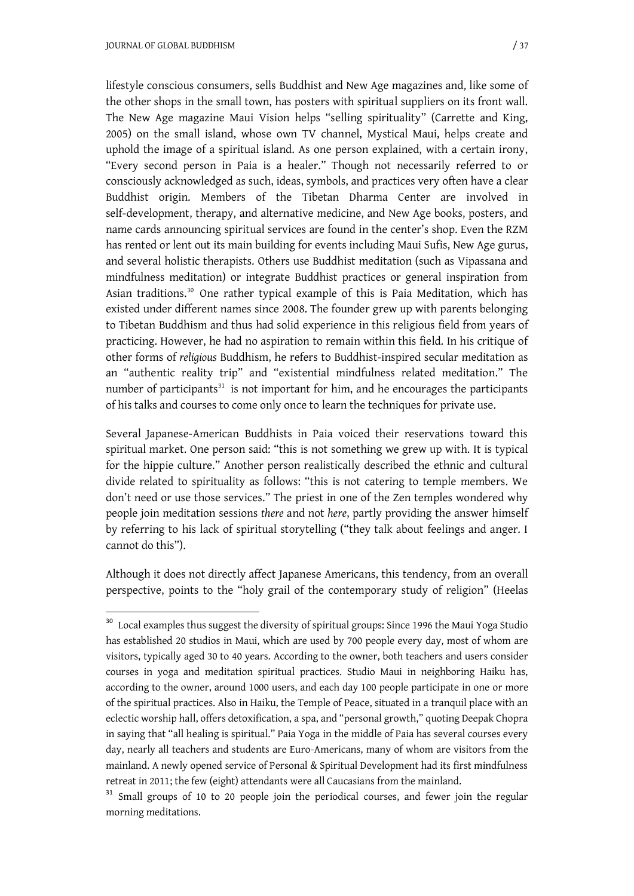lifestyle conscious consumers, sells Buddhist and New Age magazines and, like some of the other shops in the small town, has posters with spiritual suppliers on its front wall. The New Age magazine Maui Vision helps "selling spirituality" (Carrette and King, 2005) on the small island, whose own TV channel, Mystical Maui, helps create and uphold the image of a spiritual island. As one person explained, with a certain irony, "Every second person in Paia is a healer." Though not necessarily referred to or consciously acknowledged as such, ideas, symbols, and practices very often have a clear Buddhist origin. Members of the Tibetan Dharma Center are involved in self-development, therapy, and alternative medicine, and New Age books, posters, and name cards announcing spiritual services are found in the center's shop. Even the RZM has rented or lent out its main building for events including Maui Sufis, New Age gurus, and several holistic therapists. Others use Buddhist meditation (such as Vipassana and mindfulness meditation) or integrate Buddhist practices or general inspiration from Asian traditions.<sup>30</sup> One rather typical example of this is Paia Meditation, which has existed under different names since 2008. The founder grew up with parents belonging to Tibetan Buddhism and thus had solid experience in this religious field from years of practicing. However, he had no aspiration to remain within this field. In his critique of other forms of *religious* Buddhism, he refers to Buddhist-inspired secular meditation as an "authentic reality trip" and "existential mindfulness related meditation." The number of participants $31$  is not important for him, and he encourages the participants of his talks and courses to come only once to learn the techniques for private use.

Several Japanese-American Buddhists in Paia voiced their reservations toward this spiritual market. One person said: "this is not something we grew up with. It is typical for the hippie culture." Another person realistically described the ethnic and cultural divide related to spirituality as follows: "this is not catering to temple members. We don't need or use those services." The priest in one of the Zen temples wondered why people join meditation sessions *there* and not *here*, partly providing the answer himself by referring to his lack of spiritual storytelling ("they talk about feelings and anger. I cannot do this").

Although it does not directly affect Japanese Americans, this tendency, from an overall perspective, points to the "holy grail of the contemporary study of religion" (Heelas

<sup>&</sup>lt;sup>30</sup> Local examples thus suggest the diversity of spiritual groups: Since 1996 the Maui Yoga Studio has established 20 studios in Maui, which are used by 700 people every day, most of whom are visitors, typically aged 30 to 40 years. According to the owner, both teachers and users consider courses in yoga and meditation spiritual practices. Studio Maui in neighboring Haiku has, according to the owner, around 1000 users, and each day 100 people participate in one or more of the spiritual practices. Also in Haiku, the Temple of Peace, situated in a tranquil place with an eclectic worship hall, offers detoxification, a spa, and "personal growth," quoting Deepak Chopra in saying that "all healing is spiritual." Paia Yoga in the middle of Paia has several courses every day, nearly all teachers and students are Euro-Americans, many of whom are visitors from the mainland. A newly opened service of Personal & Spiritual Development had its first mindfulness retreat in 2011; the few (eight) attendants were all Caucasians from the mainland.

<sup>&</sup>lt;sup>31</sup> Small groups of 10 to 20 people join the periodical courses, and fewer join the regular morning meditations.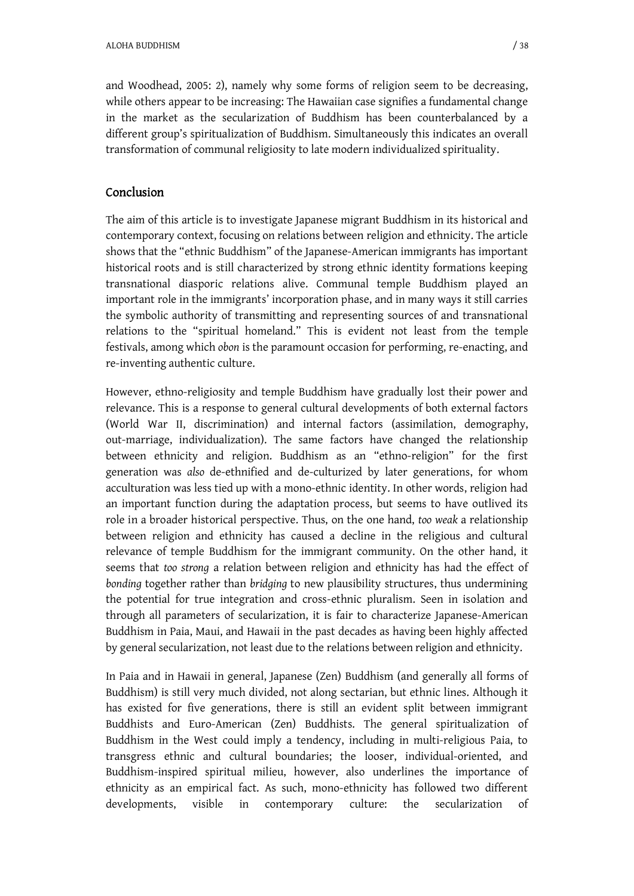and Woodhead, 2005: 2), namely why some forms of religion seem to be decreasing, while others appear to be increasing: The Hawaiian case signifies a fundamental change in the market as the secularization of Buddhism has been counterbalanced by a different group's spiritualization of Buddhism. Simultaneously this indicates an overall transformation of communal religiosity to late modern individualized spirituality.

#### Conclusion

The aim of this article is to investigate Japanese migrant Buddhism in its historical and contemporary context, focusing on relations between religion and ethnicity. The article shows that the "ethnic Buddhism" of the Japanese-American immigrants has important historical roots and is still characterized by strong ethnic identity formations keeping transnational diasporic relations alive. Communal temple Buddhism played an important role in the immigrants' incorporation phase, and in many ways it still carries the symbolic authority of transmitting and representing sources of and transnational relations to the "spiritual homeland." This is evident not least from the temple festivals, among which *obon* is the paramount occasion for performing, re-enacting, and re-inventing authentic culture.

However, ethno-religiosity and temple Buddhism have gradually lost their power and relevance. This is a response to general cultural developments of both external factors (World War II, discrimination) and internal factors (assimilation, demography, out-marriage, individualization). The same factors have changed the relationship between ethnicity and religion. Buddhism as an "ethno-religion" for the first generation was *also* de-ethnified and de-culturized by later generations, for whom acculturation was less tied up with a mono-ethnic identity. In other words, religion had an important function during the adaptation process, but seems to have outlived its role in a broader historical perspective. Thus, on the one hand, *too weak* a relationship between religion and ethnicity has caused a decline in the religious and cultural relevance of temple Buddhism for the immigrant community. On the other hand, it seems that *too strong* a relation between religion and ethnicity has had the effect of *bonding* together rather than *bridging* to new plausibility structures, thus undermining the potential for true integration and cross-ethnic pluralism. Seen in isolation and through all parameters of secularization, it is fair to characterize Japanese-American Buddhism in Paia, Maui, and Hawaii in the past decades as having been highly affected by general secularization, not least due to the relations between religion and ethnicity.

In Paia and in Hawaii in general, Japanese (Zen) Buddhism (and generally all forms of Buddhism) is still very much divided, not along sectarian, but ethnic lines. Although it has existed for five generations, there is still an evident split between immigrant Buddhists and Euro-American (Zen) Buddhists. The general spiritualization of Buddhism in the West could imply a tendency, including in multi-religious Paia, to transgress ethnic and cultural boundaries; the looser, individual-oriented, and Buddhism-inspired spiritual milieu, however, also underlines the importance of ethnicity as an empirical fact. As such, mono-ethnicity has followed two different developments, visible in contemporary culture: the secularization of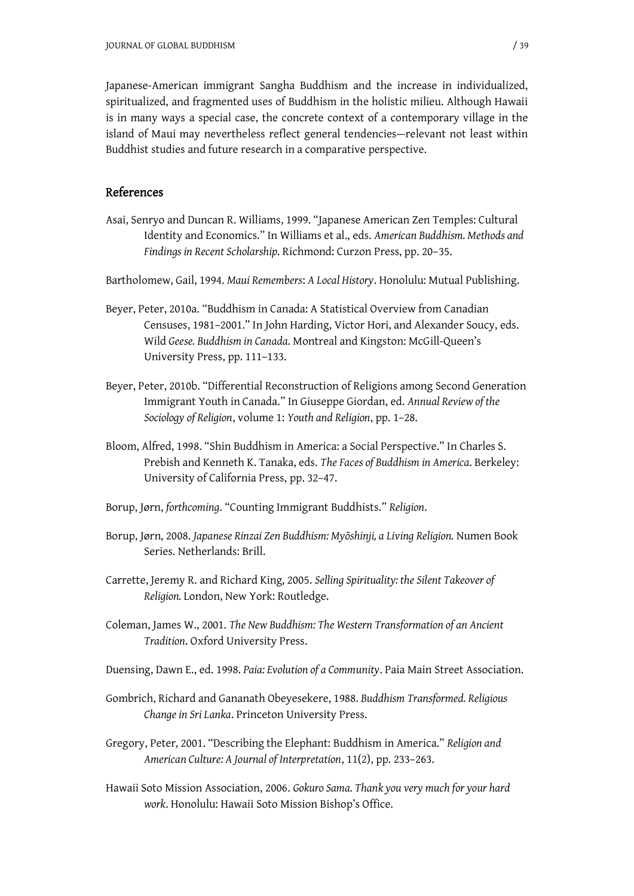Japanese-American immigrant Sangha Buddhism and the increase in individualized, spiritualized, and fragmented uses of Buddhism in the holistic milieu. Although Hawaii is in many ways a special case, the concrete context of a contemporary village in the island of Maui may nevertheless reflect general tendencies—relevant not least within Buddhist studies and future research in a comparative perspective.

#### References

- Asai, Senryo and Duncan R. Williams, 1999. "Japanese American Zen Temples: Cultural Identity and Economics." In Williams et al., eds. *American Buddhism. Methods and Findings in Recent Scholarship*. Richmond: Curzon Press, pp. 20–35.
- Bartholomew, Gail, 1994. *Maui Remembers*: *A Local History*. Honolulu: Mutual Publishing.
- Beyer, Peter, 2010a. "Buddhism in Canada: A Statistical Overview from Canadian Censuses, 1981–2001." In John Harding, Victor Hori, and Alexander Soucy, eds. Wild *Geese. Buddhism in Canada*. Montreal and Kingston: McGill-Queen's University Press, pp. 111–133.
- Beyer, Peter, 2010b. "Differential Reconstruction of Religions among Second Generation Immigrant Youth in Canada." In Giuseppe Giordan, ed. *Annual Review of the Sociology of Religion*, volume 1: *Youth and Religion*, pp. 1–28.
- Bloom, Alfred, 1998. "Shin Buddhism in America: a Social Perspective." In Charles S. Prebish and Kenneth K. Tanaka, eds. *The Faces of Buddhism in America*. Berkeley: University of California Press, pp. 32–47.
- Borup, Jørn, *forthcoming*. "Counting Immigrant Buddhists." *Religion*.
- Borup, Jørn, 2008. *Japanese Rinzai Zen Buddhism: Myگshinji, a Living Religion.* Numen Book Series. Netherlands: Brill.
- Carrette, Jeremy R. and Richard King, 2005. *Selling Spirituality: the Silent Takeover of Religion.* London, New York: Routledge.
- Coleman, James W., 2001. *The New Buddhism: The Western Transformation of an Ancient Tradition*. Oxford University Press.
- Duensing, Dawn E., ed. 1998. *Paia: Evolution of a Community*. Paia Main Street Association.
- Gombrich, Richard and Gananath Obeyesekere, 1988. *Buddhism Transformed. Religious Change in Sri Lanka*. Princeton University Press.
- Gregory, Peter, 2001. "Describing the Elephant: Buddhism in America." *Religion and American Culture: A Journal of Interpretation*, 11(2), pp. 233–263.
- Hawaii Soto Mission Association, 2006. *Gokuro Sama. Thank you very much for your hard work*. Honolulu: Hawaii Soto Mission Bishop's Office.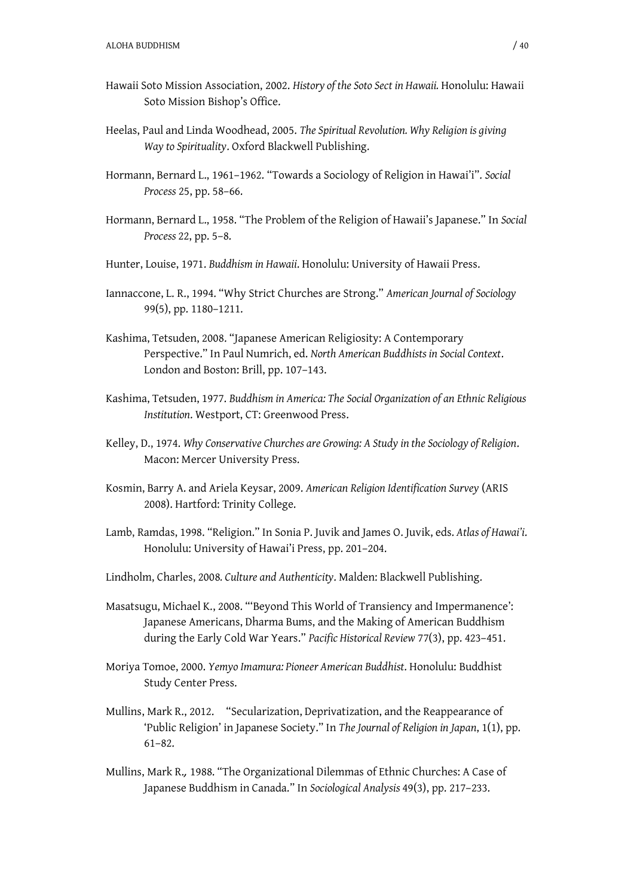- Hawaii Soto Mission Association, 2002. *History of the Soto Sect in Hawaii.* Honolulu: Hawaii Soto Mission Bishop's Office.
- Heelas, Paul and Linda Woodhead, 2005. *The Spiritual Revolution. Why Religion is giving Way to Spirituality*. Oxford Blackwell Publishing.
- Hormann, Bernard L., 1961–1962. "Towards a Sociology of Religion in Hawai'i". *Social Process* 25, pp. 58–66.
- Hormann, Bernard L., 1958. "The Problem of the Religion of Hawaii's Japanese." In *Social Process* 22, pp. 5–8.
- Hunter, Louise, 1971. *Buddhism in Hawaii*. Honolulu: University of Hawaii Press.
- Iannaccone, L. R., 1994. "Why Strict Churches are Strong." *American Journal of Sociology*  99(5), pp. 1180–1211.
- Kashima, Tetsuden, 2008. "Japanese American Religiosity: A Contemporary Perspective." In Paul Numrich, ed. *North American Buddhists in Social Context*. London and Boston: Brill, pp. 107–143.
- Kashima, Tetsuden, 1977. *Buddhism in America: The Social Organization of an Ethnic Religious Institution*. Westport, CT: Greenwood Press.
- Kelley, D., 1974. *Why Conservative Churches are Growing: A Study in the Sociology of Religion*. Macon: Mercer University Press.
- Kosmin, Barry A. and Ariela Keysar, 2009. *American Religion Identification Survey* (ARIS 2008). Hartford: Trinity College.
- Lamb, Ramdas, 1998. "Religion." In Sonia P. Juvik and James O. Juvik, eds. *Atlas of Hawai'i*. Honolulu: University of Hawai'i Press, pp. 201–204.
- Lindholm, Charles, 2008*. Culture and Authenticity*. Malden: Blackwell Publishing.
- Masatsugu, Michael K., 2008. "'Beyond This World of Transiency and Impermanence': Japanese Americans, Dharma Bums, and the Making of American Buddhism during the Early Cold War Years." *Pacific Historical Review* 77(3), pp. 423–451.
- Moriya Tomoe, 2000. *Yemyo Imamura: Pioneer American Buddhist*. Honolulu: Buddhist Study Center Press.
- Mullins, Mark R., 2012. "Secularization, Deprivatization, and the Reappearance of 'Public Religion' in Japanese Society." In *The Journal of Religion in Japan*, 1(1), pp. 61–82.
- Mullins, Mark R.*,* 1988. "The Organizational Dilemmas of Ethnic Churches: A Case of Japanese Buddhism in Canada." In *Sociological Analysis* 49(3), pp. 217–233.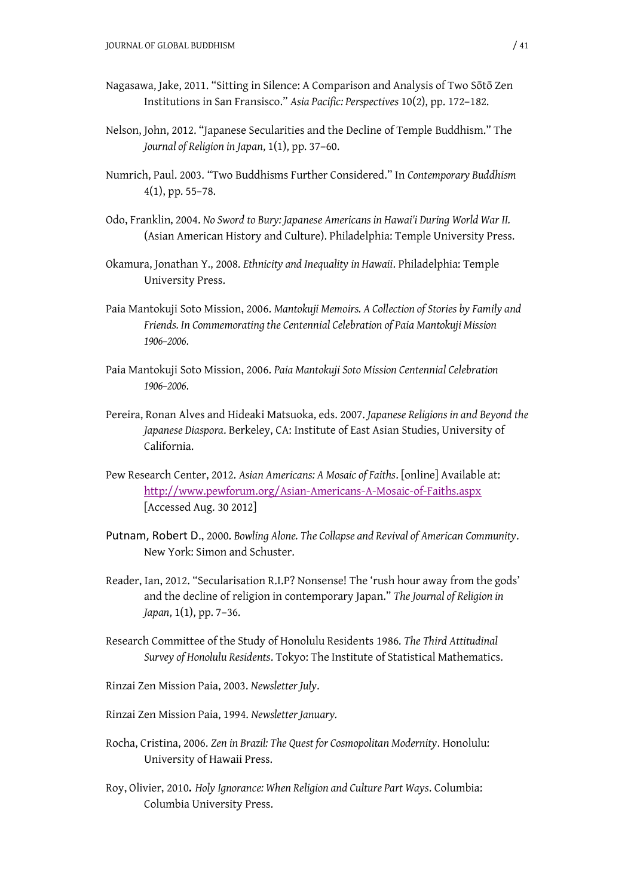- Nagasawa, Jake, 2011. "Sitting in Silence: A Comparison and Analysis of Two Sōtō Zen Institutions in San Fransisco." *Asia Pacific: Perspectives* 10(2), pp. 172–182.
- Nelson, John, 2012. "Japanese Secularities and the Decline of Temple Buddhism." The *Journal of Religion in Japan*, 1(1), pp. 37–60.
- Numrich, Paul. 2003. "Two Buddhisms Further Considered." In *Contemporary Buddhism* 4(1), pp. 55–78.
- Odo, Franklin, 2004. *No Sword to Bury: Japanese Americans in Hawai'i During World War II.* (Asian American History and Culture). Philadelphia: Temple University Press.
- Okamura, Jonathan Y., 2008. *Ethnicity and Inequality in Hawaii*. Philadelphia: Temple University Press.
- Paia Mantokuji Soto Mission, 2006. *Mantokuji Memoirs. A Collection of Stories by Family and Friends. In Commemorating the Centennial Celebration of Paia Mantokuji Mission 1906–2006*.
- Paia Mantokuji Soto Mission, 2006. *Paia Mantokuji Soto Mission Centennial Celebration 1906–2006*.
- Pereira, Ronan Alves and Hideaki Matsuoka, eds. 2007. *Japanese Religions in and Beyond the Japanese Diaspora*. Berkeley, CA: Institute of East Asian Studies, University of California.
- Pew Research Center, 2012. *Asian Americans: A Mosaic of Faiths*. [online] Available at: <http://www.pewforum.org/Asian-Americans-A-Mosaic-of-Faiths.aspx> [Accessed Aug. 30 2012]
- Putnam, Robert D., 2000. *Bowling Alone. The Collapse and Revival of American Community*. New York: Simon and Schuster.
- Reader, Ian, 2012. "Secularisation R.I.P? Nonsense! The 'rush hour away from the gods' and the decline of religion in contemporary Japan." *The Journal of Religion in Japan*, 1(1), pp. 7–36.
- Research Committee of the Study of Honolulu Residents 1986. *The Third Attitudinal Survey of Honolulu Residents*. Tokyo: The Institute of Statistical Mathematics.
- Rinzai Zen Mission Paia, 2003. *Newsletter July*.
- Rinzai Zen Mission Paia, 1994. *Newsletter January.*
- Rocha, Cristina, 2006. *Zen in Brazil: The Quest for Cosmopolitan Modernity*. Honolulu: University of Hawaii Press.
- Roy, Olivier, 2010*. Holy Ignorance: When Religion and Culture Part Ways*. Columbia: Columbia University Press.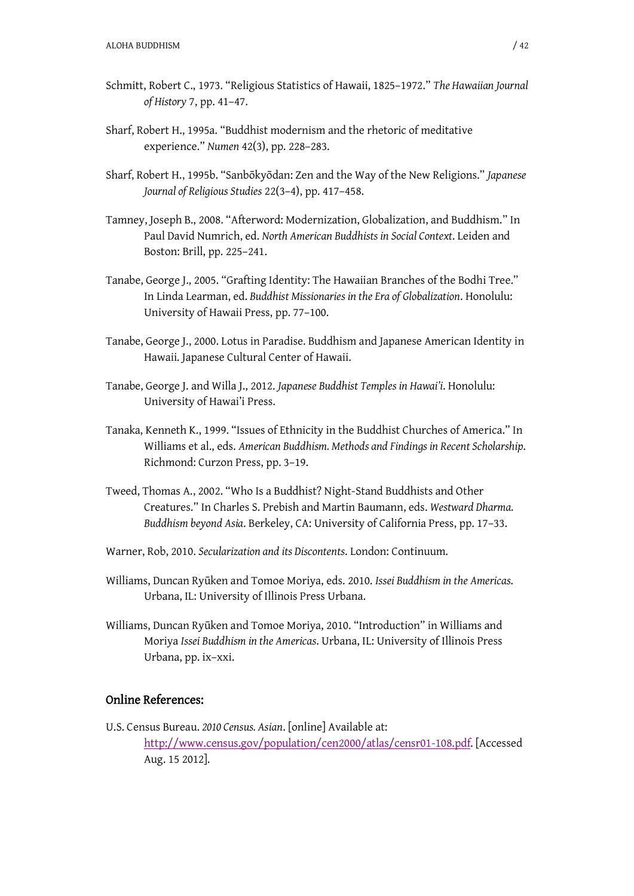- Schmitt, Robert C., 1973. "Religious Statistics of Hawaii, 1825–1972." *The Hawaiian Journal of History* 7, pp. 41–47.
- Sharf, Robert H., 1995a. "Buddhist modernism and the rhetoric of meditative experience." *Numen* 42(3), pp. 228–283.
- Sharf, Robert H., 1995b. "Sanbگkyگdan: Zen and the Way of the New Religions." *Japanese Journal of Religious Studies* 22(3–4), pp. 417–458.
- Tamney, Joseph B., 2008. "Afterword: Modernization, Globalization, and Buddhism." In Paul David Numrich, ed. *North American Buddhists in Social Context*. Leiden and Boston: Brill, pp. 225–241.
- Tanabe, George J., 2005. "Grafting Identity: The Hawaiian Branches of the Bodhi Tree." In Linda Learman, ed. *Buddhist Missionaries in the Era of Globalization*. Honolulu: University of Hawaii Press, pp. 77–100.
- Tanabe, George J., 2000. Lotus in Paradise. Buddhism and Japanese American Identity in Hawaii. Japanese Cultural Center of Hawaii.
- Tanabe, George J. and Willa J., 2012. *Japanese Buddhist Temples in Hawai'i*. Honolulu: University of Hawai'i Press.
- Tanaka, Kenneth K., 1999. "Issues of Ethnicity in the Buddhist Churches of America." In Williams et al., eds. *American Buddhism. Methods and Findings in Recent Scholarship*. Richmond: Curzon Press, pp. 3–19.
- Tweed, Thomas A., 2002. "Who Is a Buddhist? Night-Stand Buddhists and Other Creatures." In Charles S. Prebish and Martin Baumann, eds. *Westward Dharma. Buddhism beyond Asia*. Berkeley, CA: University of California Press, pp. 17–33.
- Warner, Rob, 2010. *Secularization and its Discontents*. London: Continuum.
- Williams, Duncan Ryࡃken and Tomoe Moriya, eds. 2010. *Issei Buddhism in the Americas*. Urbana, IL: University of Illinois Press Urbana.
- Williams, Duncan Ryūken and Tomoe Moriya, 2010. "Introduction" in Williams and Moriya *Issei Buddhism in the Americas*. Urbana, IL: University of Illinois Press Urbana, pp. ix–xxi.

### Online References:

U.S. Census Bureau. *2010 Census. Asian*. [online] Available at: <http://www.census.gov/population/cen2000/atlas/censr01-108.pdf.> [Accessed Aug. 15 2012].